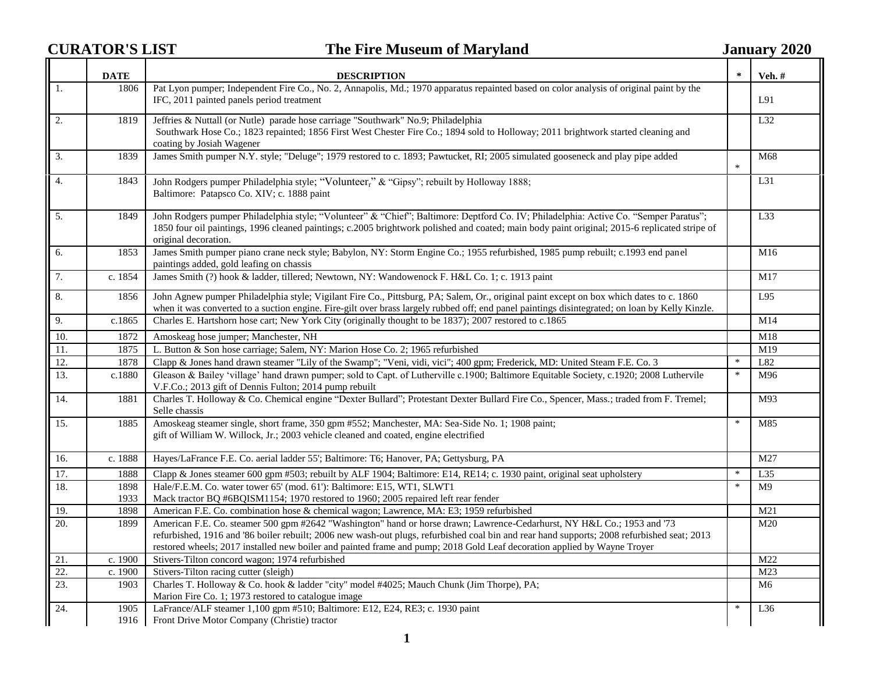## **CURATOR'S LIST The Fire Museum of Maryland January 2020**

|                   | <b>DATE</b>  | <b>DESCRIPTION</b>                                                                                                                                                                                                                                                                                                                                                                                 |        | <b>Veh.</b> #   |
|-------------------|--------------|----------------------------------------------------------------------------------------------------------------------------------------------------------------------------------------------------------------------------------------------------------------------------------------------------------------------------------------------------------------------------------------------------|--------|-----------------|
| $\vert 1.$        | 1806         | Pat Lyon pumper; Independent Fire Co., No. 2, Annapolis, Md.; 1970 apparatus repainted based on color analysis of original paint by the<br>IFC, 2011 painted panels period treatment                                                                                                                                                                                                               |        | L91             |
| $\overline{2}$ .  | 1819         | Jeffries & Nuttall (or Nutle) parade hose carriage "Southwark" No.9; Philadelphia<br>Southwark Hose Co.; 1823 repainted; 1856 First West Chester Fire Co.; 1894 sold to Holloway; 2011 brightwork started cleaning and<br>coating by Josiah Wagener                                                                                                                                                |        | L32             |
| 3.                | 1839         | James Smith pumper N.Y. style; "Deluge"; 1979 restored to c. 1893; Pawtucket, RI; 2005 simulated gooseneck and play pipe added                                                                                                                                                                                                                                                                     | $\ast$ | M68             |
| 4.                | 1843         | John Rodgers pumper Philadelphia style; "Volunteer," & "Gipsy"; rebuilt by Holloway 1888;<br>Baltimore: Patapsco Co. XIV; c. 1888 paint                                                                                                                                                                                                                                                            |        | L31             |
| 5.                | 1849         | John Rodgers pumper Philadelphia style; "Volunteer" & "Chief"; Baltimore: Deptford Co. IV; Philadelphia: Active Co. "Semper Paratus";<br>1850 four oil paintings, 1996 cleaned paintings; c.2005 brightwork polished and coated; main body paint original; 2015-6 replicated stripe of<br>original decoration.                                                                                     |        | L33             |
| 6.                | 1853         | James Smith pumper piano crane neck style; Babylon, NY: Storm Engine Co.; 1955 refurbished, 1985 pump rebuilt; c.1993 end panel<br>paintings added, gold leafing on chassis                                                                                                                                                                                                                        |        | M16             |
| $\overline{7}$ .  | c. 1854      | James Smith (?) hook & ladder, tillered; Newtown, NY: Wandowenock F. H&L Co. 1; c. 1913 paint                                                                                                                                                                                                                                                                                                      |        | M17             |
| 8.                | 1856         | John Agnew pumper Philadelphia style; Vigilant Fire Co., Pittsburg, PA; Salem, Or., original paint except on box which dates to c. 1860<br>when it was converted to a suction engine. Fire-gilt over brass largely rubbed off; end panel paintings disintegrated; on loan by Kelly Kinzle.                                                                                                         |        | L95             |
| 9.                | c.1865       | Charles E. Hartshorn hose cart; New York City (originally thought to be 1837); 2007 restored to c.1865                                                                                                                                                                                                                                                                                             |        | M14             |
| 10.               | 1872         | Amoskeag hose jumper; Manchester, NH                                                                                                                                                                                                                                                                                                                                                               |        | M18             |
| $\overline{11}$ . | 1875         | L. Button & Son hose carriage; Salem, NY: Marion Hose Co. 2; 1965 refurbished                                                                                                                                                                                                                                                                                                                      |        | M19             |
| 12.               | 1878         | Clapp & Jones hand drawn steamer "Lily of the Swamp"; "Veni, vidi, vici"; 400 gpm; Frederick, MD: United Steam F.E. Co. 3                                                                                                                                                                                                                                                                          | $\ast$ | L82             |
| 13.               | c.1880       | Gleason & Bailey 'village' hand drawn pumper; sold to Capt. of Lutherville c.1900; Baltimore Equitable Society, c.1920; 2008 Luthervile<br>V.F.Co.; 2013 gift of Dennis Fulton; 2014 pump rebuilt                                                                                                                                                                                                  | $\ast$ | M96             |
| 14.               | 1881         | Charles T. Holloway & Co. Chemical engine "Dexter Bullard"; Protestant Dexter Bullard Fire Co., Spencer, Mass.; traded from F. Tremel;<br>Selle chassis                                                                                                                                                                                                                                            |        | M93             |
| 15.               | 1885         | Amoskeag steamer single, short frame, 350 gpm #552; Manchester, MA: Sea-Side No. 1; 1908 paint;<br>gift of William W. Willock, Jr.; 2003 vehicle cleaned and coated, engine electrified                                                                                                                                                                                                            | $\ast$ | M85             |
| 16.               | c. 1888      | Hayes/LaFrance F.E. Co. aerial ladder 55'; Baltimore: T6; Hanover, PA; Gettysburg, PA                                                                                                                                                                                                                                                                                                              |        | M27             |
| 17.               | 1888         | Clapp & Jones steamer 600 gpm #503; rebuilt by ALF 1904; Baltimore: E14, RE14; c. 1930 paint, original seat upholstery                                                                                                                                                                                                                                                                             | $\ast$ | L35             |
| 18.               | 1898<br>1933 | Hale/F.E.M. Co. water tower 65' (mod. 61'): Baltimore: E15, WT1, SLWT1<br>Mack tractor BQ #6BQISM1154; 1970 restored to 1960; 2005 repaired left rear fender                                                                                                                                                                                                                                       | $\ast$ | M <sub>9</sub>  |
| 19.               | 1898         | American F.E. Co. combination hose & chemical wagon; Lawrence, MA: E3; 1959 refurbished                                                                                                                                                                                                                                                                                                            |        | M21             |
| 20.               | 1899         | American F.E. Co. steamer 500 gpm #2642 "Washington" hand or horse drawn; Lawrence-Cedarhurst, NY H&L Co.; 1953 and '73<br>refurbished, 1916 and '86 boiler rebuilt; 2006 new wash-out plugs, refurbished coal bin and rear hand supports; 2008 refurbished seat; 2013<br>restored wheels; 2017 installed new boiler and painted frame and pump; 2018 Gold Leaf decoration applied by Wayne Troyer |        | M20             |
| 21.               | c. 1900      | Stivers-Tilton concord wagon; 1974 refurbished                                                                                                                                                                                                                                                                                                                                                     |        | M22             |
| 22.               | c. 1900      | Stivers-Tilton racing cutter (sleigh)                                                                                                                                                                                                                                                                                                                                                              |        | M <sub>23</sub> |
| 23.               | 1903         | Charles T. Holloway & Co. hook & ladder "city" model #4025; Mauch Chunk (Jim Thorpe), PA;<br>Marion Fire Co. 1; 1973 restored to catalogue image                                                                                                                                                                                                                                                   |        | M <sub>6</sub>  |
| 24.               | 1905<br>1916 | LaFrance/ALF steamer 1,100 gpm #510; Baltimore: E12, E24, RE3; c. 1930 paint<br>Front Drive Motor Company (Christie) tractor                                                                                                                                                                                                                                                                       | ∗      | L36             |